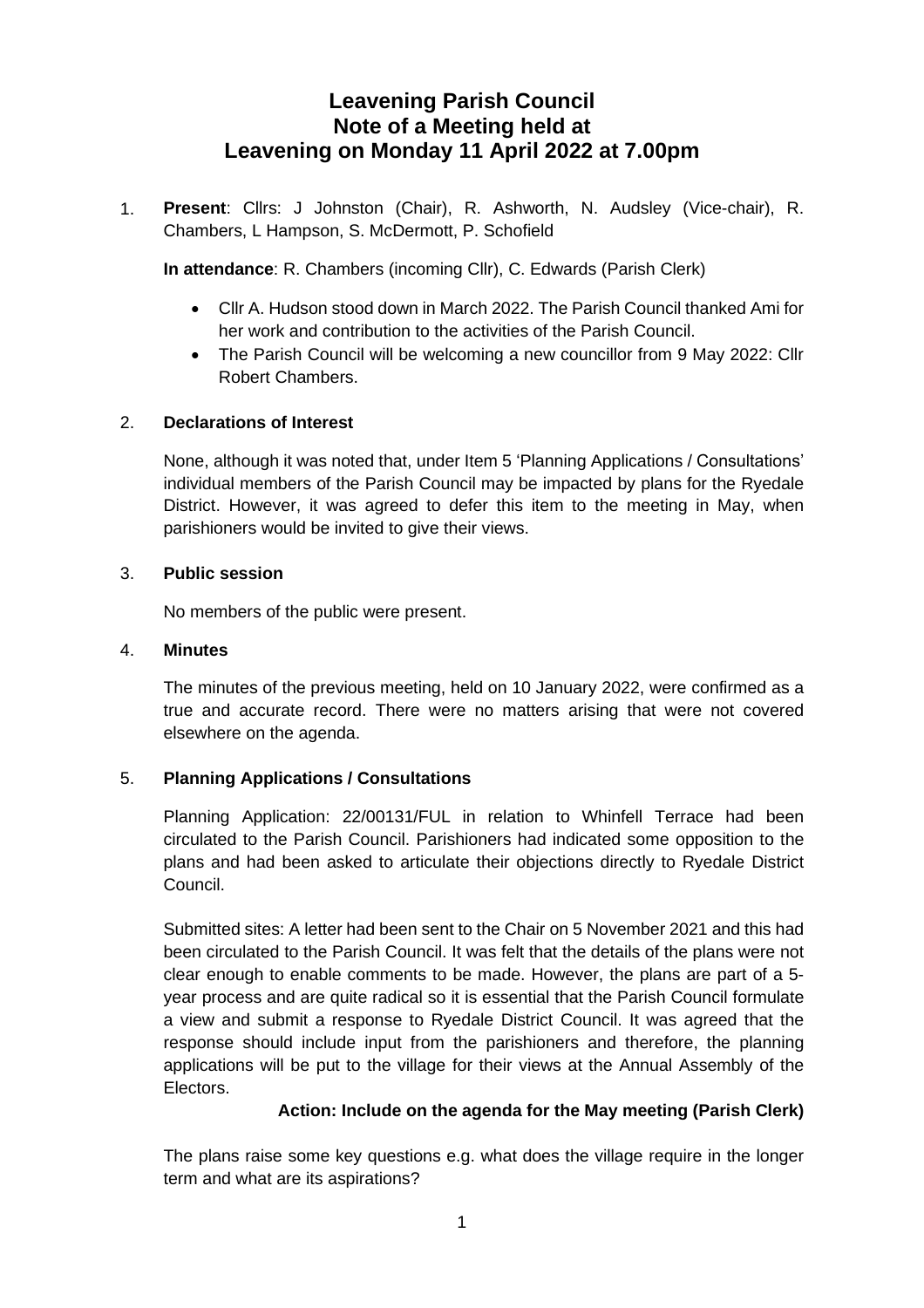# **Leavening Parish Council Note of a Meeting held at Leavening on Monday 11 April 2022 at 7.00pm**

1. **Present**: Cllrs: J Johnston (Chair), R. Ashworth, N. Audsley (Vice-chair), R. Chambers, L Hampson, S. McDermott, P. Schofield

**In attendance**: R. Chambers (incoming Cllr), C. Edwards (Parish Clerk)

- Cllr A. Hudson stood down in March 2022. The Parish Council thanked Ami for her work and contribution to the activities of the Parish Council.
- The Parish Council will be welcoming a new councillor from 9 May 2022: Cllr Robert Chambers.

#### 2. **Declarations of Interest**

None, although it was noted that, under Item 5 'Planning Applications / Consultations' individual members of the Parish Council may be impacted by plans for the Ryedale District. However, it was agreed to defer this item to the meeting in May, when parishioners would be invited to give their views.

#### 3. **Public session**

No members of the public were present.

#### 4. **Minutes**

The minutes of the previous meeting, held on 10 January 2022, were confirmed as a true and accurate record. There were no matters arising that were not covered elsewhere on the agenda.

#### 5. **Planning Applications / Consultations**

Planning Application: 22/00131/FUL in relation to Whinfell Terrace had been circulated to the Parish Council. Parishioners had indicated some opposition to the plans and had been asked to articulate their objections directly to Ryedale District Council.

Submitted sites: A letter had been sent to the Chair on 5 November 2021 and this had been circulated to the Parish Council. It was felt that the details of the plans were not clear enough to enable comments to be made. However, the plans are part of a 5 year process and are quite radical so it is essential that the Parish Council formulate a view and submit a response to Ryedale District Council. It was agreed that the response should include input from the parishioners and therefore, the planning applications will be put to the village for their views at the Annual Assembly of the Electors.

#### **Action: Include on the agenda for the May meeting (Parish Clerk)**

The plans raise some key questions e.g. what does the village require in the longer term and what are its aspirations?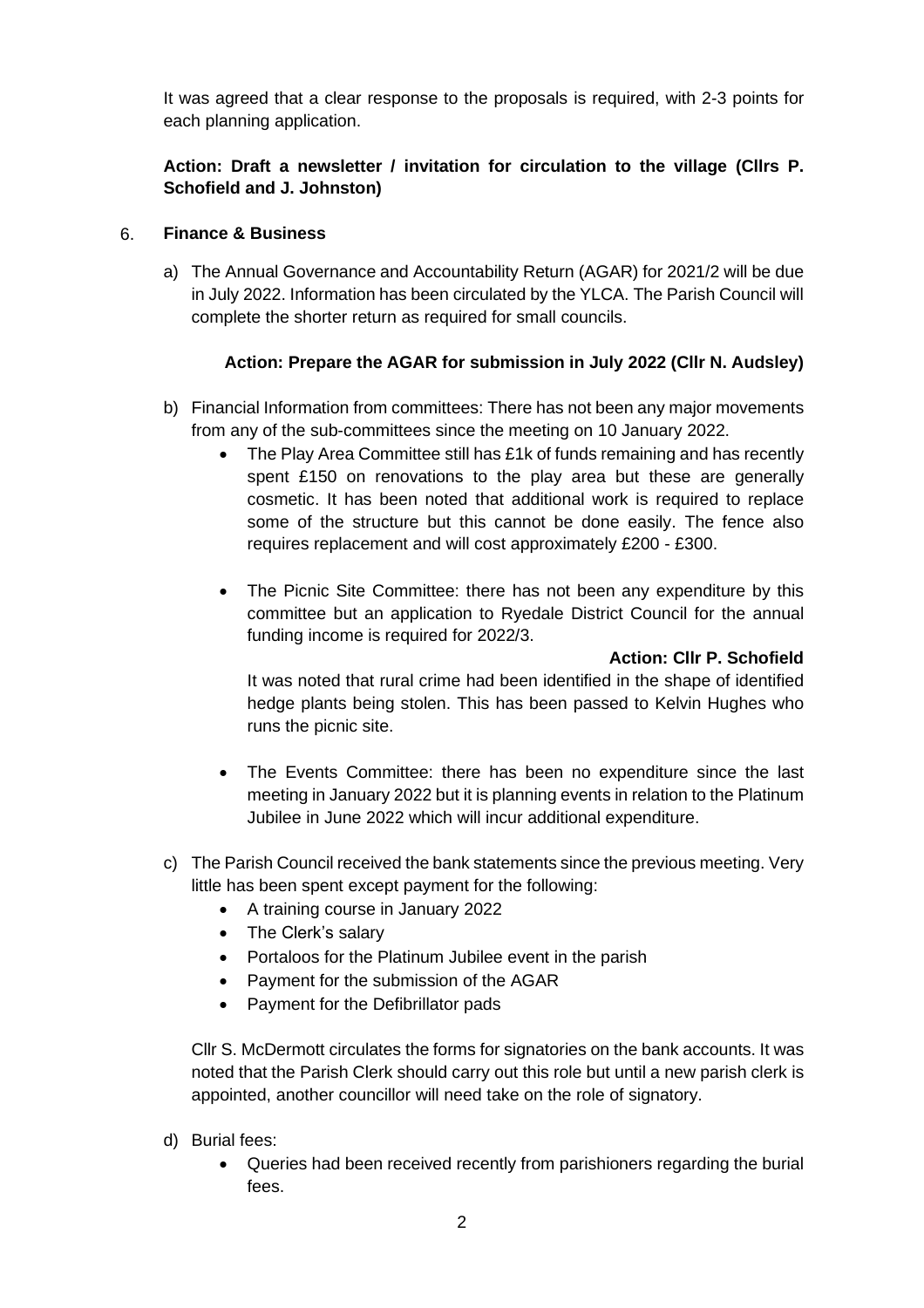It was agreed that a clear response to the proposals is required, with 2-3 points for each planning application.

# **Action: Draft a newsletter / invitation for circulation to the village (Cllrs P. Schofield and J. Johnston)**

#### 6. **Finance & Business**

a) The Annual Governance and Accountability Return (AGAR) for 2021/2 will be due in July 2022. Information has been circulated by the YLCA. The Parish Council will complete the shorter return as required for small councils.

# **Action: Prepare the AGAR for submission in July 2022 (Cllr N. Audsley)**

- b) Financial Information from committees: There has not been any major movements from any of the sub-committees since the meeting on 10 January 2022.
	- The Play Area Committee still has £1k of funds remaining and has recently spent £150 on renovations to the play area but these are generally cosmetic. It has been noted that additional work is required to replace some of the structure but this cannot be done easily. The fence also requires replacement and will cost approximately £200 - £300.
	- The Picnic Site Committee: there has not been any expenditure by this committee but an application to Ryedale District Council for the annual funding income is required for 2022/3.

#### **Action: Cllr P. Schofield**

It was noted that rural crime had been identified in the shape of identified hedge plants being stolen. This has been passed to Kelvin Hughes who runs the picnic site.

- The Events Committee: there has been no expenditure since the last meeting in January 2022 but it is planning events in relation to the Platinum Jubilee in June 2022 which will incur additional expenditure.
- c) The Parish Council received the bank statements since the previous meeting. Very little has been spent except payment for the following:
	- A training course in January 2022
	- The Clerk's salary
	- Portaloos for the Platinum Jubilee event in the parish
	- Payment for the submission of the AGAR
	- Payment for the Defibrillator pads

Cllr S. McDermott circulates the forms for signatories on the bank accounts. It was noted that the Parish Clerk should carry out this role but until a new parish clerk is appointed, another councillor will need take on the role of signatory.

- d) Burial fees:
	- Queries had been received recently from parishioners regarding the burial fees.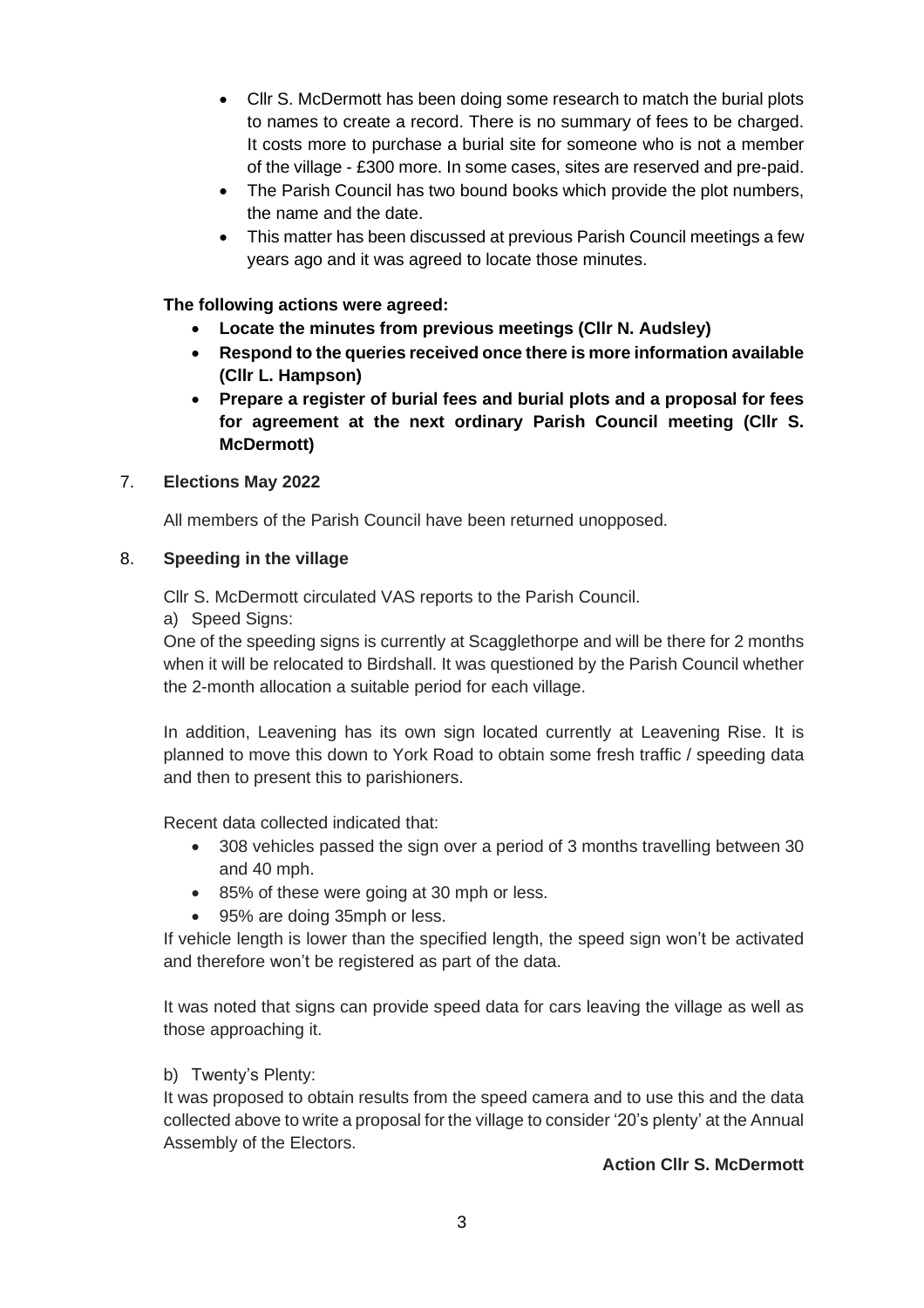- Cllr S. McDermott has been doing some research to match the burial plots to names to create a record. There is no summary of fees to be charged. It costs more to purchase a burial site for someone who is not a member of the village - £300 more. In some cases, sites are reserved and pre-paid.
- The Parish Council has two bound books which provide the plot numbers, the name and the date.
- This matter has been discussed at previous Parish Council meetings a few years ago and it was agreed to locate those minutes.

# **The following actions were agreed:**

- **Locate the minutes from previous meetings (Cllr N. Audsley)**
- **Respond to the queries received once there is more information available (Cllr L. Hampson)**
- **Prepare a register of burial fees and burial plots and a proposal for fees for agreement at the next ordinary Parish Council meeting (Cllr S. McDermott)**

# 7. **Elections May 2022**

All members of the Parish Council have been returned unopposed.

# 8. **Speeding in the village**

Cllr S. McDermott circulated VAS reports to the Parish Council.

a) Speed Signs:

One of the speeding signs is currently at Scagglethorpe and will be there for 2 months when it will be relocated to Birdshall. It was questioned by the Parish Council whether the 2-month allocation a suitable period for each village.

In addition, Leavening has its own sign located currently at Leavening Rise. It is planned to move this down to York Road to obtain some fresh traffic / speeding data and then to present this to parishioners.

Recent data collected indicated that:

- 308 vehicles passed the sign over a period of 3 months travelling between 30 and 40 mph.
- 85% of these were going at 30 mph or less.
- 95% are doing 35mph or less.

If vehicle length is lower than the specified length, the speed sign won't be activated and therefore won't be registered as part of the data.

It was noted that signs can provide speed data for cars leaving the village as well as those approaching it.

# b) Twenty's Plenty:

It was proposed to obtain results from the speed camera and to use this and the data collected above to write a proposal for the village to consider '20's plenty' at the Annual Assembly of the Electors.

#### **Action Cllr S. McDermott**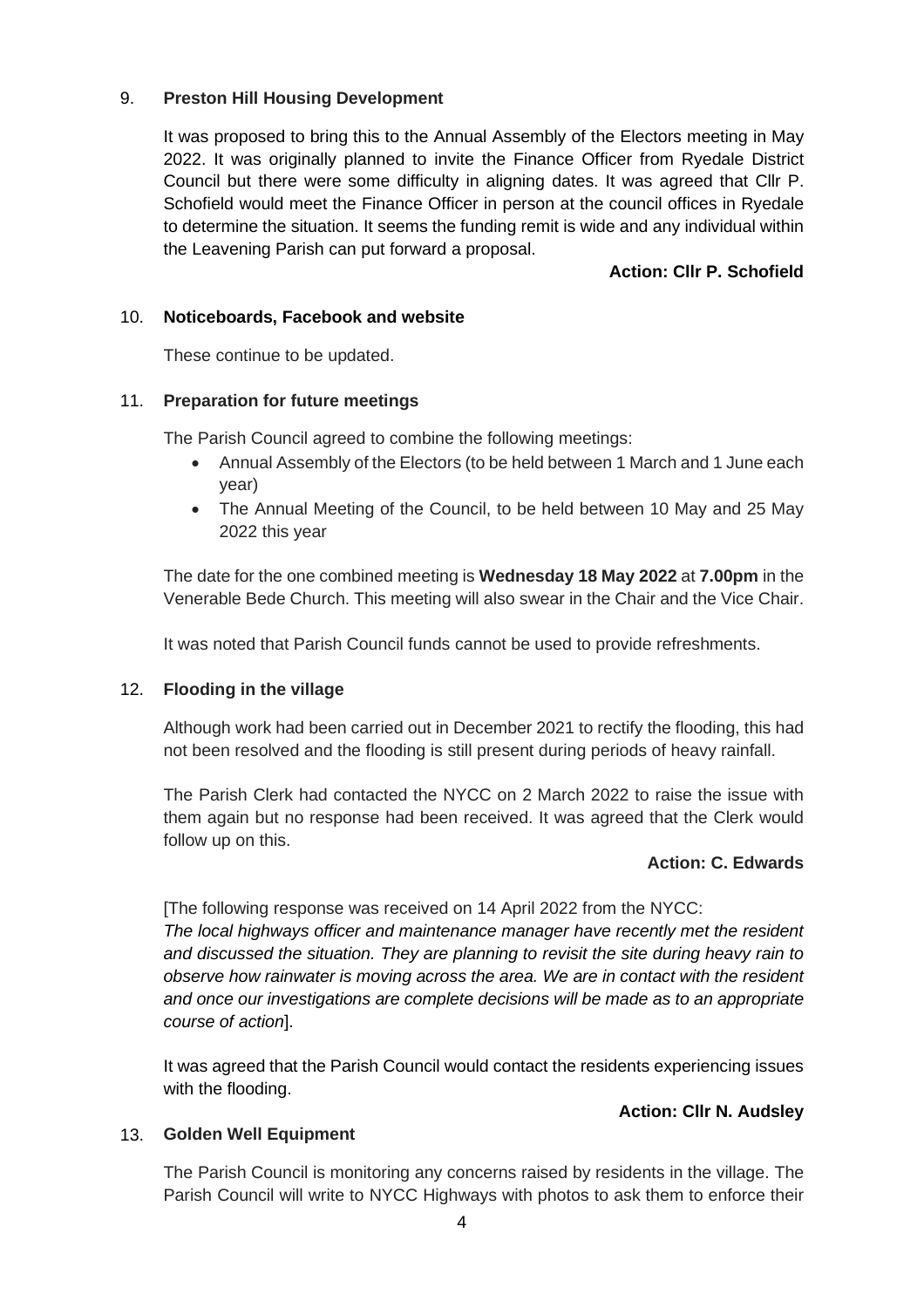#### 9. **Preston Hill Housing Development**

It was proposed to bring this to the Annual Assembly of the Electors meeting in May 2022. It was originally planned to invite the Finance Officer from Ryedale District Council but there were some difficulty in aligning dates. It was agreed that Cllr P. Schofield would meet the Finance Officer in person at the council offices in Ryedale to determine the situation. It seems the funding remit is wide and any individual within the Leavening Parish can put forward a proposal.

# **Action: Cllr P. Schofield**

#### 10. **Noticeboards, Facebook and website**

These continue to be updated.

#### 11. **Preparation for future meetings**

The Parish Council agreed to combine the following meetings:

- Annual Assembly of the Electors (to be held between 1 March and 1 June each year)
- The Annual Meeting of the Council, to be held between 10 May and 25 May 2022 this year

The date for the one combined meeting is **Wednesday 18 May 2022** at **7.00pm** in the Venerable Bede Church. This meeting will also swear in the Chair and the Vice Chair.

It was noted that Parish Council funds cannot be used to provide refreshments.

#### 12. **Flooding in the village**

Although work had been carried out in December 2021 to rectify the flooding, this had not been resolved and the flooding is still present during periods of heavy rainfall.

The Parish Clerk had contacted the NYCC on 2 March 2022 to raise the issue with them again but no response had been received. It was agreed that the Clerk would follow up on this.

#### **Action: C. Edwards**

[The following response was received on 14 April 2022 from the NYCC:

*The local highways officer and maintenance manager have recently met the resident and discussed the situation. They are planning to revisit the site during heavy rain to observe how rainwater is moving across the area. We are in contact with the resident and once our investigations are complete decisions will be made as to an appropriate course of action*].

It was agreed that the Parish Council would contact the residents experiencing issues with the flooding.

#### **Action: Cllr N. Audsley**

# 13. **Golden Well Equipment**

The Parish Council is monitoring any concerns raised by residents in the village. The Parish Council will write to NYCC Highways with photos to ask them to enforce their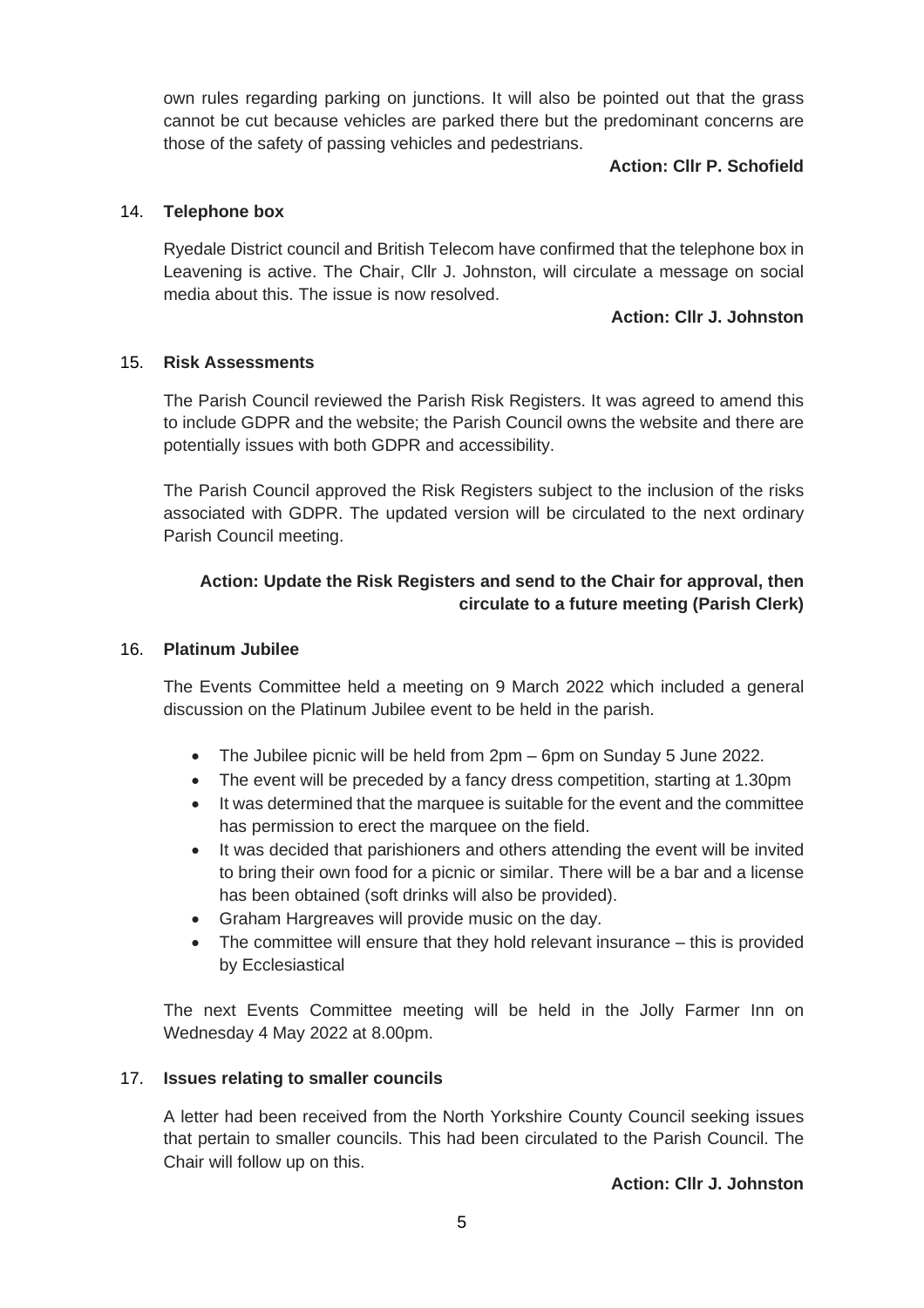own rules regarding parking on junctions. It will also be pointed out that the grass cannot be cut because vehicles are parked there but the predominant concerns are those of the safety of passing vehicles and pedestrians.

#### **Action: Cllr P. Schofield**

### 14. **Telephone box**

Ryedale District council and British Telecom have confirmed that the telephone box in Leavening is active. The Chair, Cllr J. Johnston, will circulate a message on social media about this. The issue is now resolved.

### **Action: Cllr J. Johnston**

#### 15. **Risk Assessments**

The Parish Council reviewed the Parish Risk Registers. It was agreed to amend this to include GDPR and the website; the Parish Council owns the website and there are potentially issues with both GDPR and accessibility.

The Parish Council approved the Risk Registers subject to the inclusion of the risks associated with GDPR. The updated version will be circulated to the next ordinary Parish Council meeting.

# **Action: Update the Risk Registers and send to the Chair for approval, then circulate to a future meeting (Parish Clerk)**

#### 16. **Platinum Jubilee**

The Events Committee held a meeting on 9 March 2022 which included a general discussion on the Platinum Jubilee event to be held in the parish.

- The Jubilee picnic will be held from 2pm 6pm on Sunday 5 June 2022.
- The event will be preceded by a fancy dress competition, starting at 1.30pm
- It was determined that the marquee is suitable for the event and the committee has permission to erect the marquee on the field.
- It was decided that parishioners and others attending the event will be invited to bring their own food for a picnic or similar. There will be a bar and a license has been obtained (soft drinks will also be provided).
- Graham Hargreaves will provide music on the day.
- The committee will ensure that they hold relevant insurance this is provided by Ecclesiastical

The next Events Committee meeting will be held in the Jolly Farmer Inn on Wednesday 4 May 2022 at 8.00pm.

# 17. **Issues relating to smaller councils**

A letter had been received from the North Yorkshire County Council seeking issues that pertain to smaller councils. This had been circulated to the Parish Council. The Chair will follow up on this.